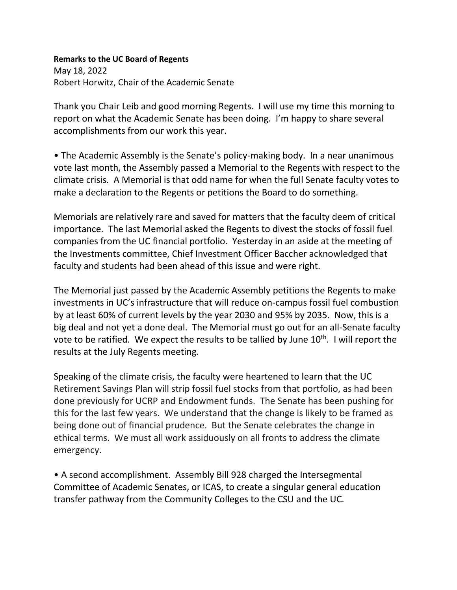## **Remarks to the UC Board of Regents**

May 18, 2022 Robert Horwitz, Chair of the Academic Senate

Thank you Chair Leib and good morning Regents. I will use my time this morning to report on what the Academic Senate has been doing. I'm happy to share several accomplishments from our work this year.

• The Academic Assembly is the Senate's policy-making body. In a near unanimous vote last month, the Assembly passed a Memorial to the Regents with respect to the climate crisis. A Memorial is that odd name for when the full Senate faculty votes to make a declaration to the Regents or petitions the Board to do something.

Memorials are relatively rare and saved for matters that the faculty deem of critical importance. The last Memorial asked the Regents to divest the stocks of fossil fuel companies from the UC financial portfolio. Yesterday in an aside at the meeting of the Investments committee, Chief Investment Officer Baccher acknowledged that faculty and students had been ahead of this issue and were right.

The Memorial just passed by the Academic Assembly petitions the Regents to make investments in UC's infrastructure that will reduce on-campus fossil fuel combustion by at least 60% of current levels by the year 2030 and 95% by 2035. Now, this is a big deal and not yet a done deal. The Memorial must go out for an all-Senate faculty vote to be ratified. We expect the results to be tallied by June  $10<sup>th</sup>$ . I will report the results at the July Regents meeting.

Speaking of the climate crisis, the faculty were heartened to learn that the UC Retirement Savings Plan will strip fossil fuel stocks from that portfolio, as had been done previously for UCRP and Endowment funds. The Senate has been pushing for this for the last few years. We understand that the change is likely to be framed as being done out of financial prudence. But the Senate celebrates the change in ethical terms. We must all work assiduously on all fronts to address the climate emergency.

• A second accomplishment. Assembly Bill 928 charged the Intersegmental Committee of Academic Senates, or ICAS, to create a singular general education transfer pathway from the Community Colleges to the CSU and the UC.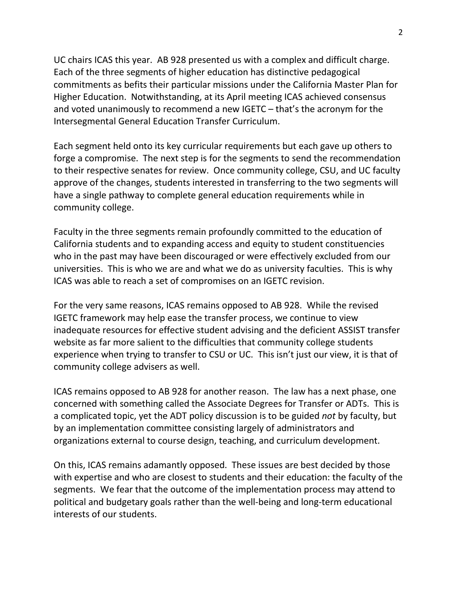UC chairs ICAS this year. AB 928 presented us with a complex and difficult charge. Each of the three segments of higher education has distinctive pedagogical commitments as befits their particular missions under the California Master Plan for Higher Education. Notwithstanding, at its April meeting ICAS achieved consensus and voted unanimously to recommend a new IGETC – that's the acronym for the Intersegmental General Education Transfer Curriculum.

Each segment held onto its key curricular requirements but each gave up others to forge a compromise. The next step is for the segments to send the recommendation to their respective senates for review. Once community college, CSU, and UC faculty approve of the changes, students interested in transferring to the two segments will have a single pathway to complete general education requirements while in community college.

Faculty in the three segments remain profoundly committed to the education of California students and to expanding access and equity to student constituencies who in the past may have been discouraged or were effectively excluded from our universities. This is who we are and what we do as university faculties. This is why ICAS was able to reach a set of compromises on an IGETC revision.

For the very same reasons, ICAS remains opposed to AB 928. While the revised IGETC framework may help ease the transfer process, we continue to view inadequate resources for effective student advising and the deficient ASSIST transfer website as far more salient to the difficulties that community college students experience when trying to transfer to CSU or UC. This isn't just our view, it is that of community college advisers as well.

ICAS remains opposed to AB 928 for another reason. The law has a next phase, one concerned with something called the Associate Degrees for Transfer or ADTs. This is a complicated topic, yet the ADT policy discussion is to be guided *not* by faculty, but by an implementation committee consisting largely of administrators and organizations external to course design, teaching, and curriculum development.

On this, ICAS remains adamantly opposed. These issues are best decided by those with expertise and who are closest to students and their education: the faculty of the segments. We fear that the outcome of the implementation process may attend to political and budgetary goals rather than the well-being and long-term educational interests of our students.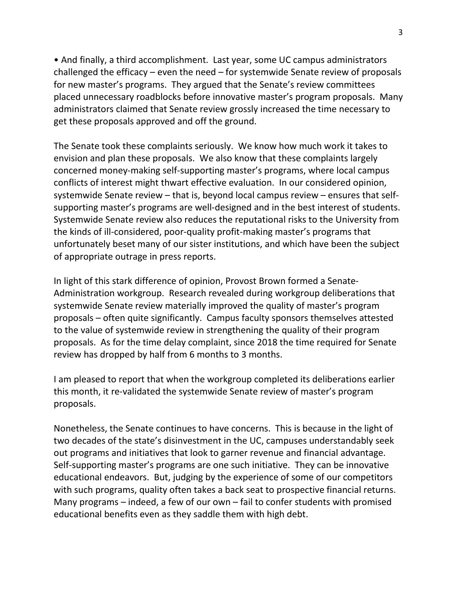• And finally, a third accomplishment. Last year, some UC campus administrators challenged the efficacy – even the need – for systemwide Senate review of proposals for new master's programs. They argued that the Senate's review committees placed unnecessary roadblocks before innovative master's program proposals. Many administrators claimed that Senate review grossly increased the time necessary to get these proposals approved and off the ground.

The Senate took these complaints seriously. We know how much work it takes to envision and plan these proposals. We also know that these complaints largely concerned money-making self-supporting master's programs, where local campus conflicts of interest might thwart effective evaluation. In our considered opinion, systemwide Senate review – that is, beyond local campus review – ensures that selfsupporting master's programs are well-designed and in the best interest of students. Systemwide Senate review also reduces the reputational risks to the University from the kinds of ill-considered, poor-quality profit-making master's programs that unfortunately beset many of our sister institutions, and which have been the subject of appropriate outrage in press reports.

In light of this stark difference of opinion, Provost Brown formed a Senate-Administration workgroup. Research revealed during workgroup deliberations that systemwide Senate review materially improved the quality of master's program proposals – often quite significantly. Campus faculty sponsors themselves attested to the value of systemwide review in strengthening the quality of their program proposals. As for the time delay complaint, since 2018 the time required for Senate review has dropped by half from 6 months to 3 months.

I am pleased to report that when the workgroup completed its deliberations earlier this month, it re-validated the systemwide Senate review of master's program proposals.

Nonetheless, the Senate continues to have concerns. This is because in the light of two decades of the state's disinvestment in the UC, campuses understandably seek out programs and initiatives that look to garner revenue and financial advantage. Self-supporting master's programs are one such initiative. They can be innovative educational endeavors. But, judging by the experience of some of our competitors with such programs, quality often takes a back seat to prospective financial returns. Many programs – indeed, a few of our own – fail to confer students with promised educational benefits even as they saddle them with high debt.